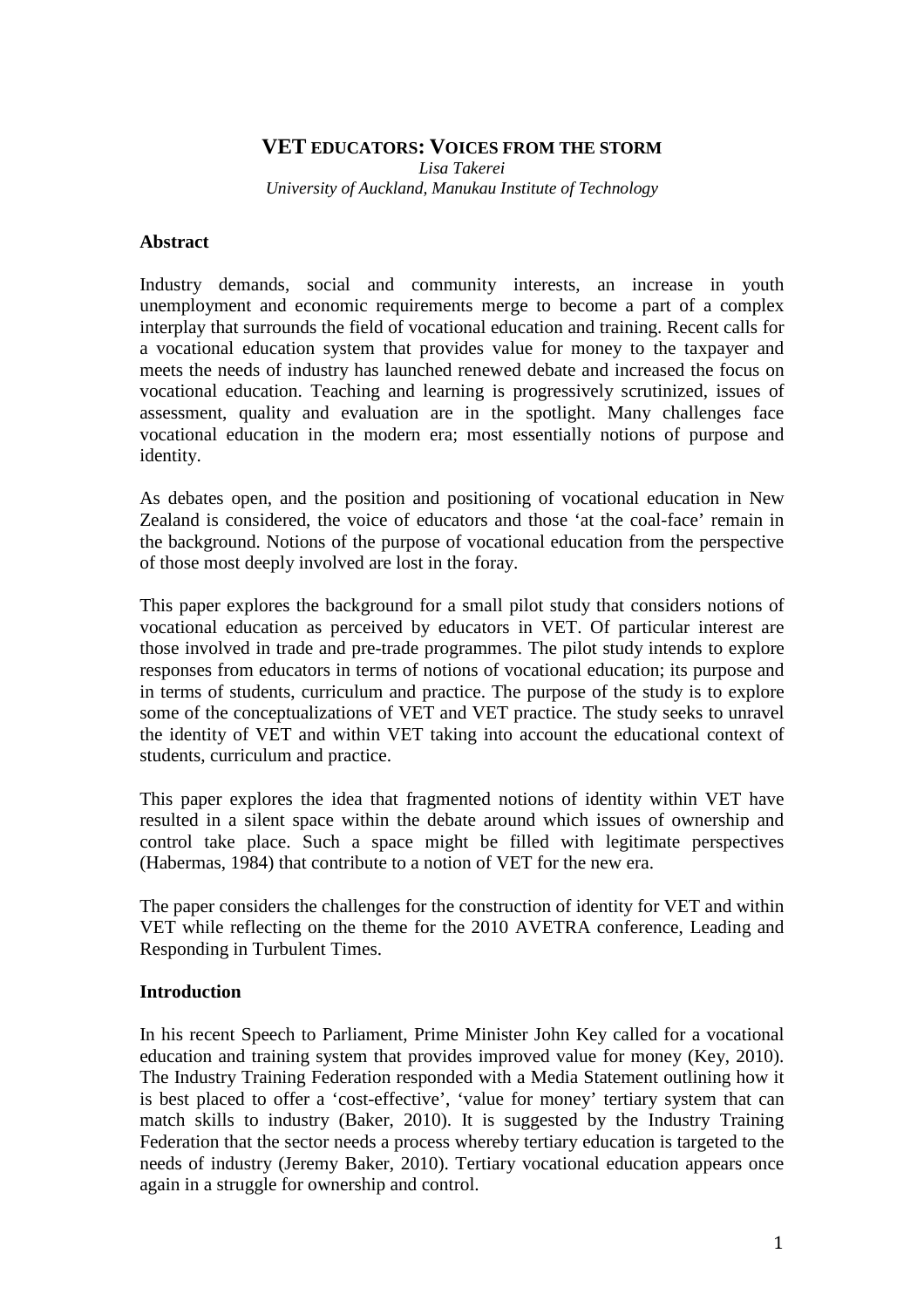# **VET EDUCATORS: VOICES FROM THE STORM**

*Lisa Takerei University of Auckland, Manukau Institute of Technology* 

#### **Abstract**

Industry demands, social and community interests, an increase in youth unemployment and economic requirements merge to become a part of a complex interplay that surrounds the field of vocational education and training. Recent calls for a vocational education system that provides value for money to the taxpayer and meets the needs of industry has launched renewed debate and increased the focus on vocational education. Teaching and learning is progressively scrutinized, issues of assessment, quality and evaluation are in the spotlight. Many challenges face vocational education in the modern era; most essentially notions of purpose and identity.

As debates open, and the position and positioning of vocational education in New Zealand is considered, the voice of educators and those 'at the coal-face' remain in the background. Notions of the purpose of vocational education from the perspective of those most deeply involved are lost in the foray.

This paper explores the background for a small pilot study that considers notions of vocational education as perceived by educators in VET. Of particular interest are those involved in trade and pre-trade programmes. The pilot study intends to explore responses from educators in terms of notions of vocational education; its purpose and in terms of students, curriculum and practice. The purpose of the study is to explore some of the conceptualizations of VET and VET practice. The study seeks to unravel the identity of VET and within VET taking into account the educational context of students, curriculum and practice.

This paper explores the idea that fragmented notions of identity within VET have resulted in a silent space within the debate around which issues of ownership and control take place. Such a space might be filled with legitimate perspectives (Habermas, 1984) that contribute to a notion of VET for the new era.

The paper considers the challenges for the construction of identity for VET and within VET while reflecting on the theme for the 2010 AVETRA conference, Leading and Responding in Turbulent Times.

## **Introduction**

In his recent Speech to Parliament, Prime Minister John Key called for a vocational education and training system that provides improved value for money (Key, 2010). The Industry Training Federation responded with a Media Statement outlining how it is best placed to offer a 'cost-effective', 'value for money' tertiary system that can match skills to industry (Baker, 2010). It is suggested by the Industry Training Federation that the sector needs a process whereby tertiary education is targeted to the needs of industry (Jeremy Baker, 2010). Tertiary vocational education appears once again in a struggle for ownership and control.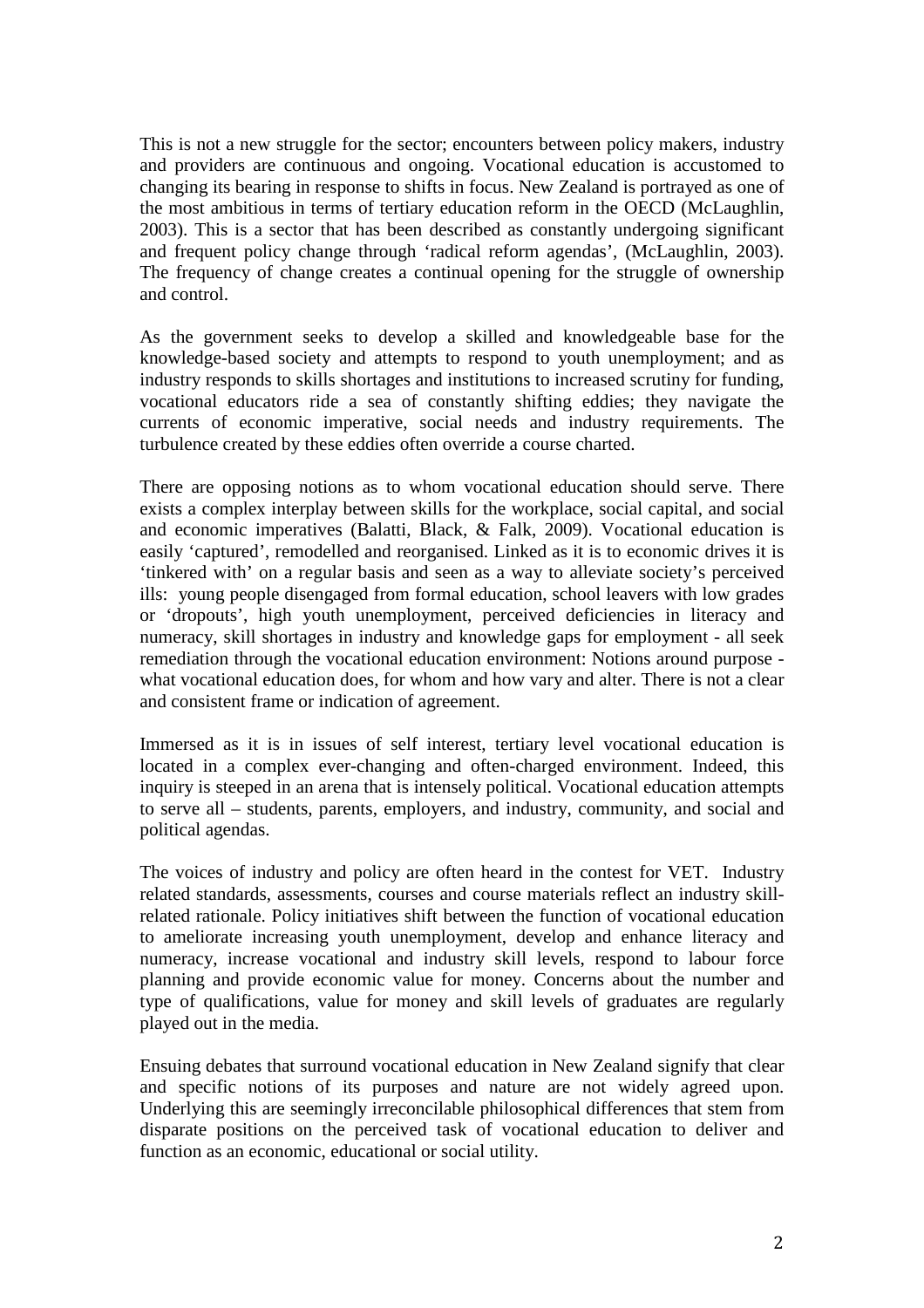This is not a new struggle for the sector; encounters between policy makers, industry and providers are continuous and ongoing. Vocational education is accustomed to changing its bearing in response to shifts in focus. New Zealand is portrayed as one of the most ambitious in terms of tertiary education reform in the OECD (McLaughlin, 2003). This is a sector that has been described as constantly undergoing significant and frequent policy change through 'radical reform agendas', (McLaughlin, 2003). The frequency of change creates a continual opening for the struggle of ownership and control.

As the government seeks to develop a skilled and knowledgeable base for the knowledge-based society and attempts to respond to youth unemployment; and as industry responds to skills shortages and institutions to increased scrutiny for funding, vocational educators ride a sea of constantly shifting eddies; they navigate the currents of economic imperative, social needs and industry requirements. The turbulence created by these eddies often override a course charted.

There are opposing notions as to whom vocational education should serve. There exists a complex interplay between skills for the workplace, social capital, and social and economic imperatives (Balatti, Black, & Falk, 2009). Vocational education is easily 'captured', remodelled and reorganised. Linked as it is to economic drives it is 'tinkered with' on a regular basis and seen as a way to alleviate society's perceived ills: young people disengaged from formal education, school leavers with low grades or 'dropouts', high youth unemployment, perceived deficiencies in literacy and numeracy, skill shortages in industry and knowledge gaps for employment - all seek remediation through the vocational education environment: Notions around purpose what vocational education does, for whom and how vary and alter. There is not a clear and consistent frame or indication of agreement.

Immersed as it is in issues of self interest, tertiary level vocational education is located in a complex ever-changing and often-charged environment. Indeed, this inquiry is steeped in an arena that is intensely political. Vocational education attempts to serve all – students, parents, employers, and industry, community, and social and political agendas.

The voices of industry and policy are often heard in the contest for VET. Industry related standards, assessments, courses and course materials reflect an industry skillrelated rationale. Policy initiatives shift between the function of vocational education to ameliorate increasing youth unemployment, develop and enhance literacy and numeracy, increase vocational and industry skill levels, respond to labour force planning and provide economic value for money. Concerns about the number and type of qualifications, value for money and skill levels of graduates are regularly played out in the media.

Ensuing debates that surround vocational education in New Zealand signify that clear and specific notions of its purposes and nature are not widely agreed upon. Underlying this are seemingly irreconcilable philosophical differences that stem from disparate positions on the perceived task of vocational education to deliver and function as an economic, educational or social utility.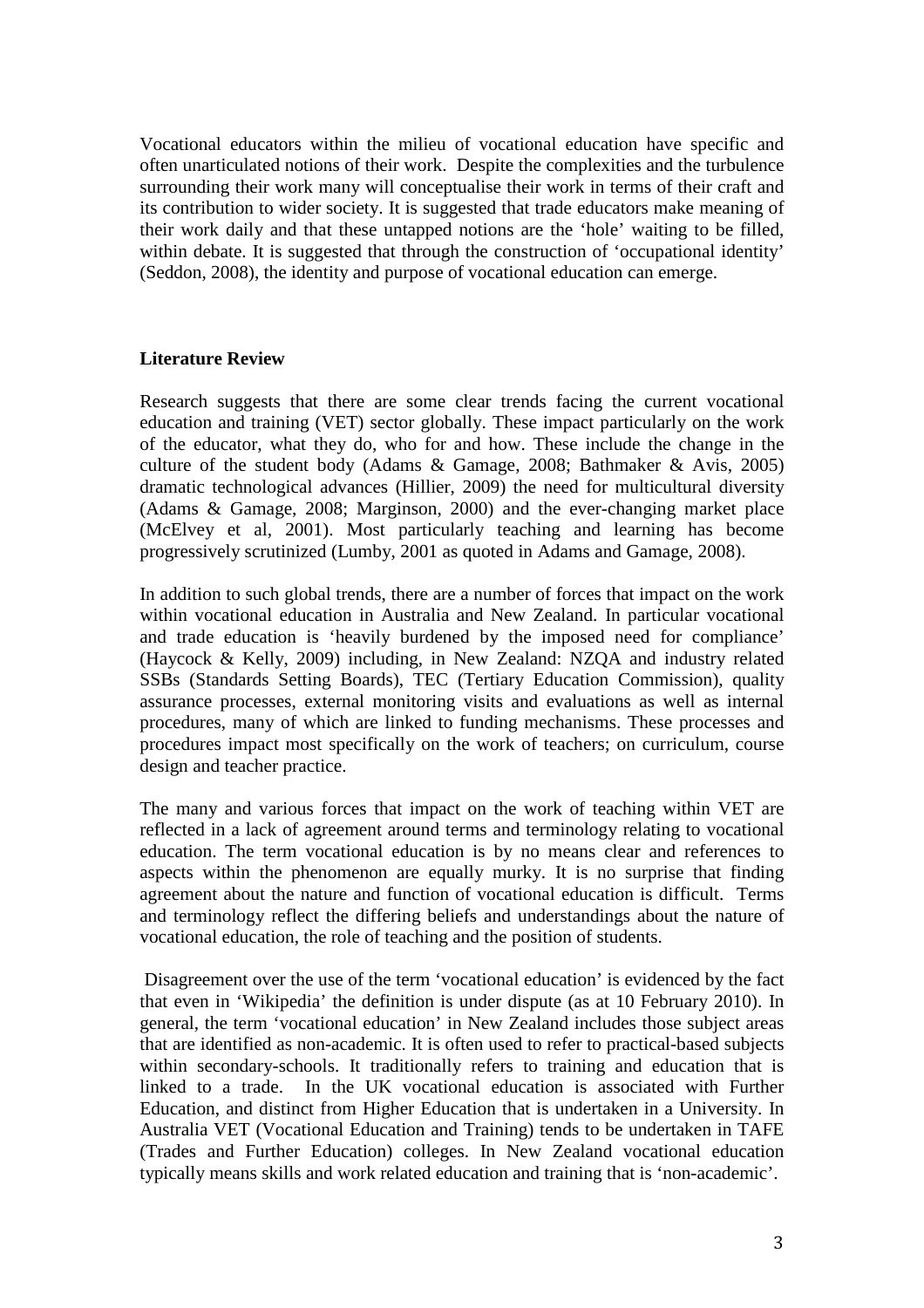Vocational educators within the milieu of vocational education have specific and often unarticulated notions of their work. Despite the complexities and the turbulence surrounding their work many will conceptualise their work in terms of their craft and its contribution to wider society. It is suggested that trade educators make meaning of their work daily and that these untapped notions are the 'hole' waiting to be filled, within debate. It is suggested that through the construction of 'occupational identity' (Seddon, 2008), the identity and purpose of vocational education can emerge.

# **Literature Review**

Research suggests that there are some clear trends facing the current vocational education and training (VET) sector globally. These impact particularly on the work of the educator, what they do, who for and how. These include the change in the culture of the student body (Adams & Gamage, 2008; Bathmaker & Avis, 2005) dramatic technological advances (Hillier, 2009) the need for multicultural diversity (Adams & Gamage, 2008; Marginson, 2000) and the ever-changing market place (McElvey et al, 2001). Most particularly teaching and learning has become progressively scrutinized (Lumby, 2001 as quoted in Adams and Gamage, 2008).

In addition to such global trends, there are a number of forces that impact on the work within vocational education in Australia and New Zealand. In particular vocational and trade education is 'heavily burdened by the imposed need for compliance' (Haycock & Kelly, 2009) including, in New Zealand: NZQA and industry related SSBs (Standards Setting Boards), TEC (Tertiary Education Commission), quality assurance processes, external monitoring visits and evaluations as well as internal procedures, many of which are linked to funding mechanisms. These processes and procedures impact most specifically on the work of teachers; on curriculum, course design and teacher practice.

The many and various forces that impact on the work of teaching within VET are reflected in a lack of agreement around terms and terminology relating to vocational education. The term vocational education is by no means clear and references to aspects within the phenomenon are equally murky. It is no surprise that finding agreement about the nature and function of vocational education is difficult. Terms and terminology reflect the differing beliefs and understandings about the nature of vocational education, the role of teaching and the position of students.

 Disagreement over the use of the term 'vocational education' is evidenced by the fact that even in 'Wikipedia' the definition is under dispute (as at 10 February 2010). In general, the term 'vocational education' in New Zealand includes those subject areas that are identified as non-academic. It is often used to refer to practical-based subjects within secondary-schools. It traditionally refers to training and education that is linked to a trade. In the UK vocational education is associated with Further Education, and distinct from Higher Education that is undertaken in a University. In Australia VET (Vocational Education and Training) tends to be undertaken in TAFE (Trades and Further Education) colleges. In New Zealand vocational education typically means skills and work related education and training that is 'non-academic'.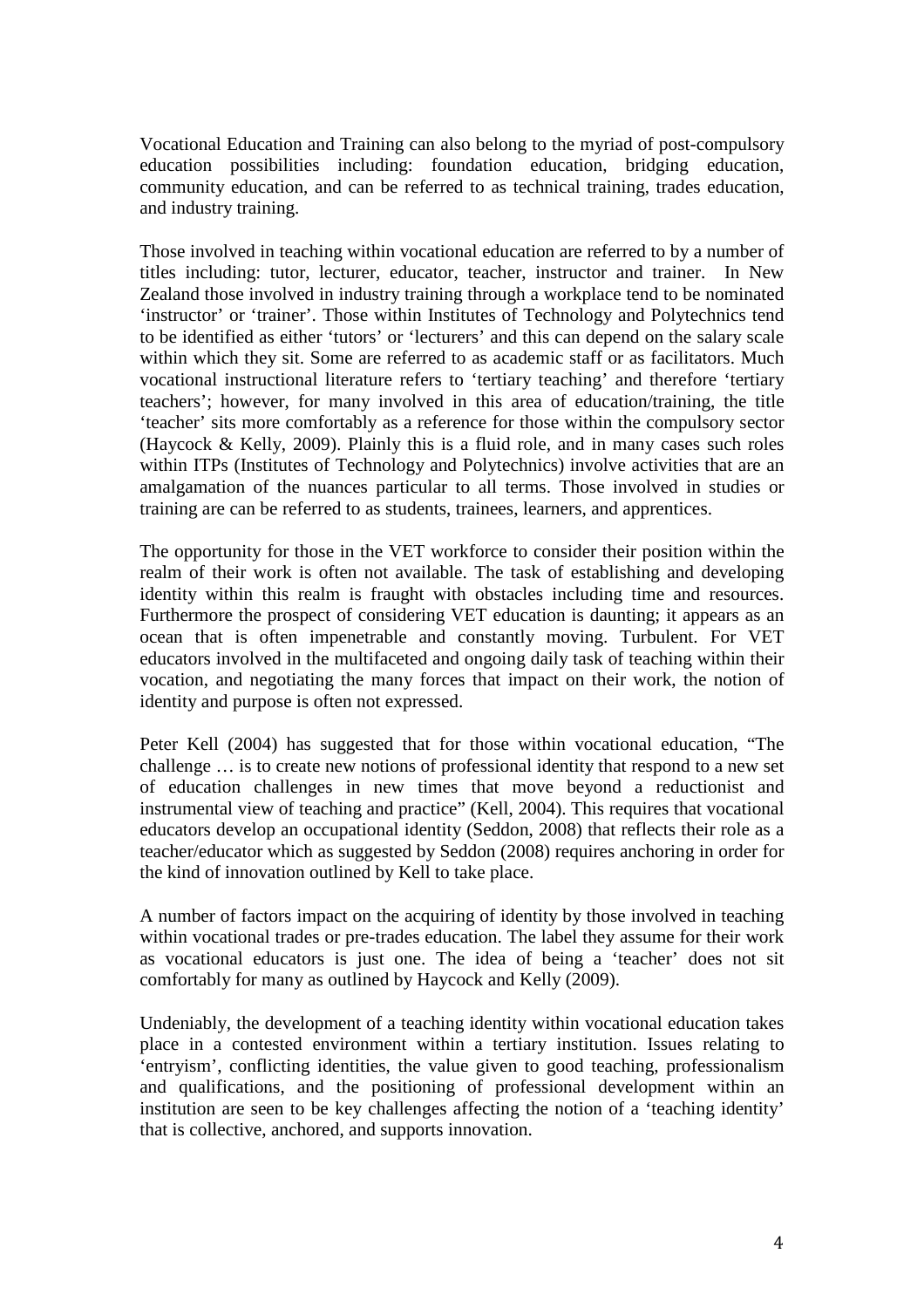Vocational Education and Training can also belong to the myriad of post-compulsory education possibilities including: foundation education, bridging education, community education, and can be referred to as technical training, trades education, and industry training.

Those involved in teaching within vocational education are referred to by a number of titles including: tutor, lecturer, educator, teacher, instructor and trainer. In New Zealand those involved in industry training through a workplace tend to be nominated 'instructor' or 'trainer'. Those within Institutes of Technology and Polytechnics tend to be identified as either 'tutors' or 'lecturers' and this can depend on the salary scale within which they sit. Some are referred to as academic staff or as facilitators. Much vocational instructional literature refers to 'tertiary teaching' and therefore 'tertiary teachers'; however, for many involved in this area of education/training, the title 'teacher' sits more comfortably as a reference for those within the compulsory sector (Haycock & Kelly, 2009). Plainly this is a fluid role, and in many cases such roles within ITPs (Institutes of Technology and Polytechnics) involve activities that are an amalgamation of the nuances particular to all terms. Those involved in studies or training are can be referred to as students, trainees, learners, and apprentices.

The opportunity for those in the VET workforce to consider their position within the realm of their work is often not available. The task of establishing and developing identity within this realm is fraught with obstacles including time and resources. Furthermore the prospect of considering VET education is daunting; it appears as an ocean that is often impenetrable and constantly moving. Turbulent. For VET educators involved in the multifaceted and ongoing daily task of teaching within their vocation, and negotiating the many forces that impact on their work, the notion of identity and purpose is often not expressed.

Peter Kell (2004) has suggested that for those within vocational education, "The challenge … is to create new notions of professional identity that respond to a new set of education challenges in new times that move beyond a reductionist and instrumental view of teaching and practice" (Kell, 2004). This requires that vocational educators develop an occupational identity (Seddon, 2008) that reflects their role as a teacher/educator which as suggested by Seddon (2008) requires anchoring in order for the kind of innovation outlined by Kell to take place.

A number of factors impact on the acquiring of identity by those involved in teaching within vocational trades or pre-trades education. The label they assume for their work as vocational educators is just one. The idea of being a 'teacher' does not sit comfortably for many as outlined by Haycock and Kelly (2009).

Undeniably, the development of a teaching identity within vocational education takes place in a contested environment within a tertiary institution. Issues relating to 'entryism', conflicting identities, the value given to good teaching, professionalism and qualifications, and the positioning of professional development within an institution are seen to be key challenges affecting the notion of a 'teaching identity' that is collective, anchored, and supports innovation.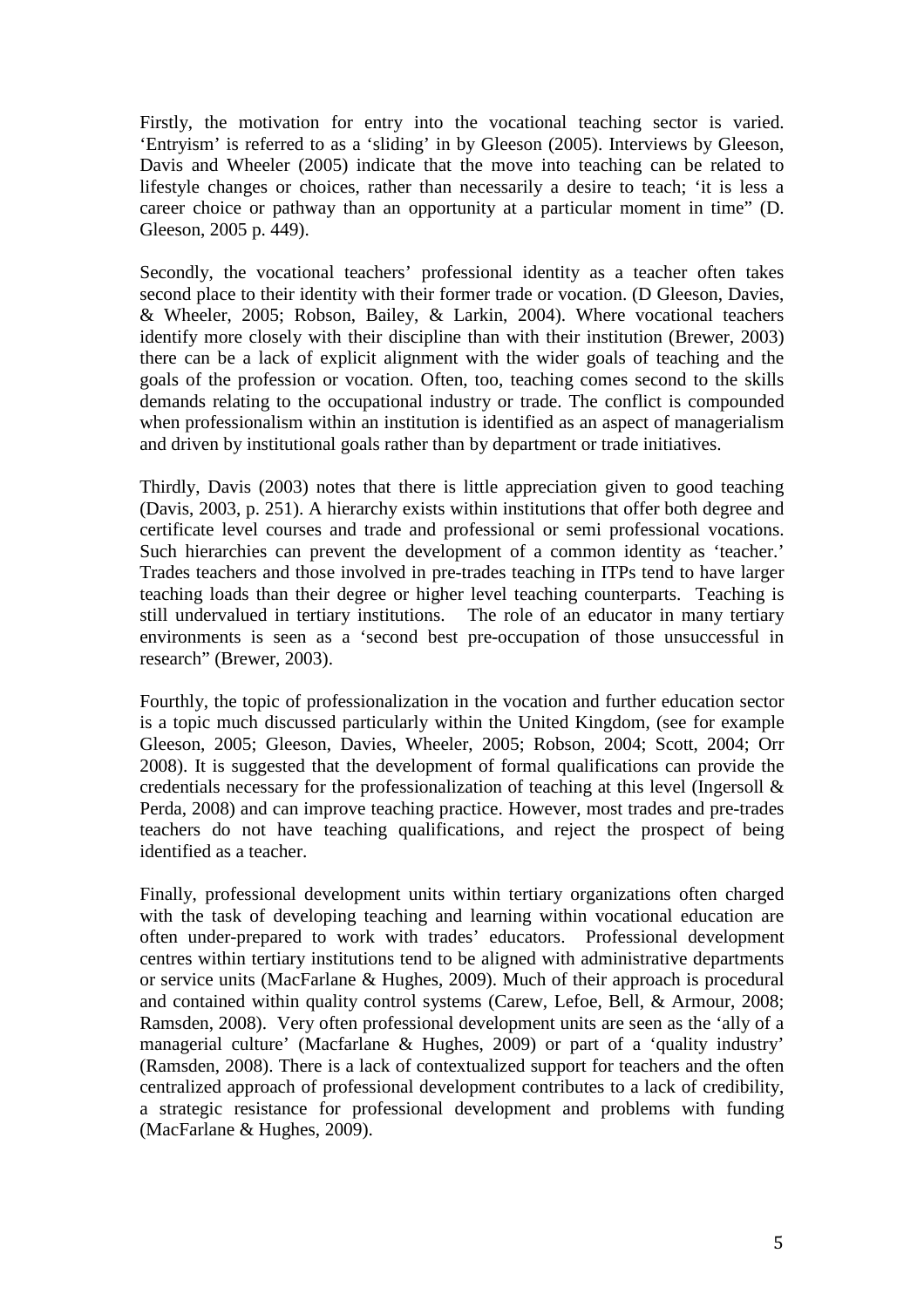Firstly, the motivation for entry into the vocational teaching sector is varied. 'Entryism' is referred to as a 'sliding' in by Gleeson (2005). Interviews by Gleeson, Davis and Wheeler (2005) indicate that the move into teaching can be related to lifestyle changes or choices, rather than necessarily a desire to teach; 'it is less a career choice or pathway than an opportunity at a particular moment in time" (D. Gleeson, 2005 p. 449).

Secondly, the vocational teachers' professional identity as a teacher often takes second place to their identity with their former trade or vocation. (D Gleeson, Davies, & Wheeler, 2005; Robson, Bailey, & Larkin, 2004). Where vocational teachers identify more closely with their discipline than with their institution (Brewer, 2003) there can be a lack of explicit alignment with the wider goals of teaching and the goals of the profession or vocation. Often, too, teaching comes second to the skills demands relating to the occupational industry or trade. The conflict is compounded when professionalism within an institution is identified as an aspect of managerialism and driven by institutional goals rather than by department or trade initiatives.

Thirdly, Davis (2003) notes that there is little appreciation given to good teaching (Davis, 2003, p. 251). A hierarchy exists within institutions that offer both degree and certificate level courses and trade and professional or semi professional vocations. Such hierarchies can prevent the development of a common identity as 'teacher.' Trades teachers and those involved in pre-trades teaching in ITPs tend to have larger teaching loads than their degree or higher level teaching counterparts. Teaching is still undervalued in tertiary institutions. The role of an educator in many tertiary environments is seen as a 'second best pre-occupation of those unsuccessful in research" (Brewer, 2003).

Fourthly, the topic of professionalization in the vocation and further education sector is a topic much discussed particularly within the United Kingdom, (see for example Gleeson, 2005; Gleeson, Davies, Wheeler, 2005; Robson, 2004; Scott, 2004; Orr 2008). It is suggested that the development of formal qualifications can provide the credentials necessary for the professionalization of teaching at this level (Ingersoll & Perda, 2008) and can improve teaching practice. However, most trades and pre-trades teachers do not have teaching qualifications, and reject the prospect of being identified as a teacher.

Finally, professional development units within tertiary organizations often charged with the task of developing teaching and learning within vocational education are often under-prepared to work with trades' educators. Professional development centres within tertiary institutions tend to be aligned with administrative departments or service units (MacFarlane & Hughes, 2009). Much of their approach is procedural and contained within quality control systems (Carew, Lefoe, Bell, & Armour, 2008; Ramsden, 2008). Very often professional development units are seen as the 'ally of a managerial culture' (Macfarlane & Hughes, 2009) or part of a 'quality industry' (Ramsden, 2008). There is a lack of contextualized support for teachers and the often centralized approach of professional development contributes to a lack of credibility, a strategic resistance for professional development and problems with funding (MacFarlane & Hughes, 2009).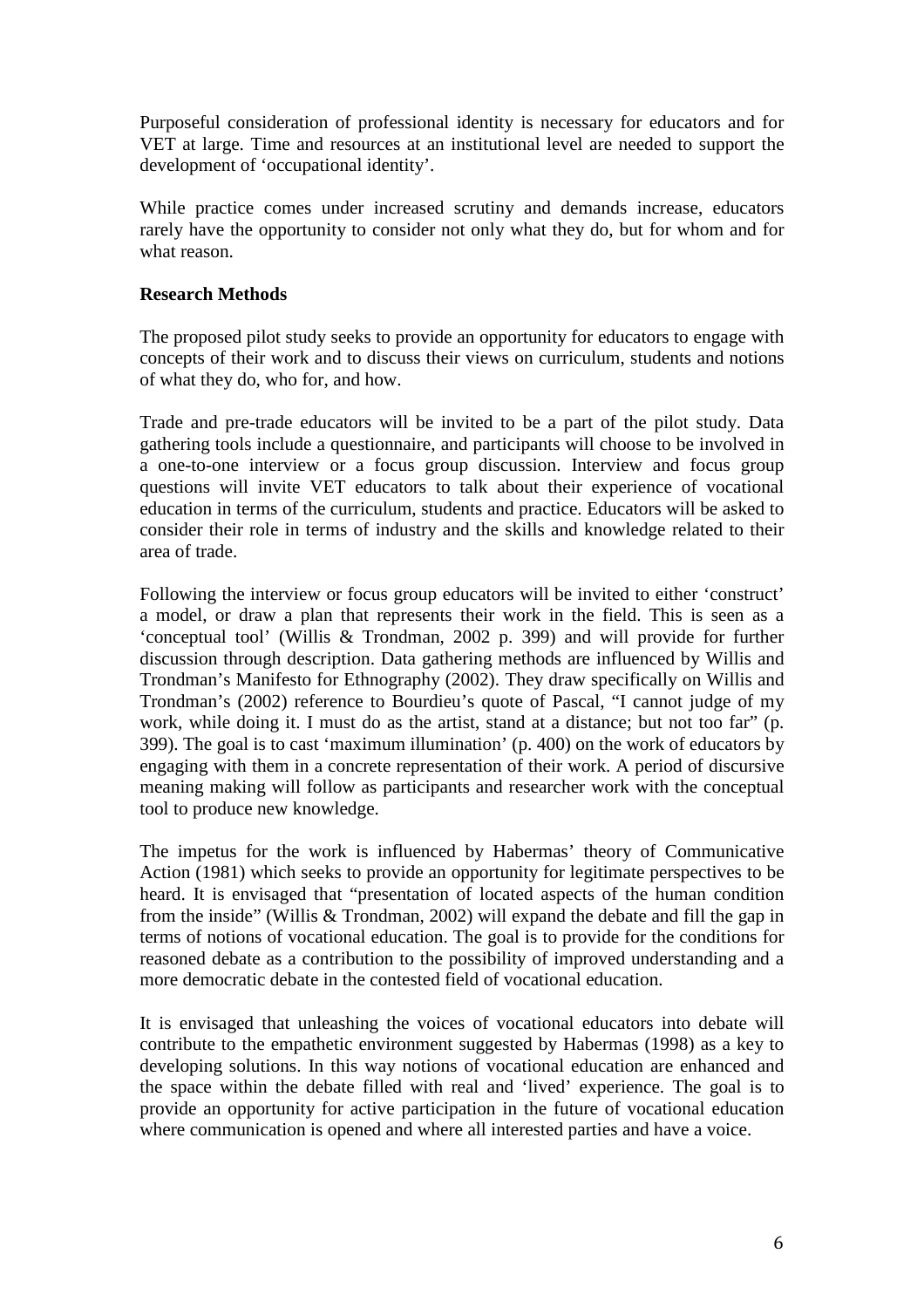Purposeful consideration of professional identity is necessary for educators and for VET at large. Time and resources at an institutional level are needed to support the development of 'occupational identity'.

While practice comes under increased scrutiny and demands increase, educators rarely have the opportunity to consider not only what they do, but for whom and for what reason.

## **Research Methods**

The proposed pilot study seeks to provide an opportunity for educators to engage with concepts of their work and to discuss their views on curriculum, students and notions of what they do, who for, and how.

Trade and pre-trade educators will be invited to be a part of the pilot study. Data gathering tools include a questionnaire, and participants will choose to be involved in a one-to-one interview or a focus group discussion. Interview and focus group questions will invite VET educators to talk about their experience of vocational education in terms of the curriculum, students and practice. Educators will be asked to consider their role in terms of industry and the skills and knowledge related to their area of trade.

Following the interview or focus group educators will be invited to either 'construct' a model, or draw a plan that represents their work in the field. This is seen as a 'conceptual tool' (Willis & Trondman, 2002 p. 399) and will provide for further discussion through description. Data gathering methods are influenced by Willis and Trondman's Manifesto for Ethnography (2002). They draw specifically on Willis and Trondman's (2002) reference to Bourdieu's quote of Pascal, "I cannot judge of my work, while doing it. I must do as the artist, stand at a distance; but not too far" (p. 399). The goal is to cast 'maximum illumination' (p. 400) on the work of educators by engaging with them in a concrete representation of their work. A period of discursive meaning making will follow as participants and researcher work with the conceptual tool to produce new knowledge.

The impetus for the work is influenced by Habermas' theory of Communicative Action (1981) which seeks to provide an opportunity for legitimate perspectives to be heard. It is envisaged that "presentation of located aspects of the human condition from the inside" (Willis & Trondman, 2002) will expand the debate and fill the gap in terms of notions of vocational education. The goal is to provide for the conditions for reasoned debate as a contribution to the possibility of improved understanding and a more democratic debate in the contested field of vocational education.

It is envisaged that unleashing the voices of vocational educators into debate will contribute to the empathetic environment suggested by Habermas (1998) as a key to developing solutions. In this way notions of vocational education are enhanced and the space within the debate filled with real and 'lived' experience. The goal is to provide an opportunity for active participation in the future of vocational education where communication is opened and where all interested parties and have a voice.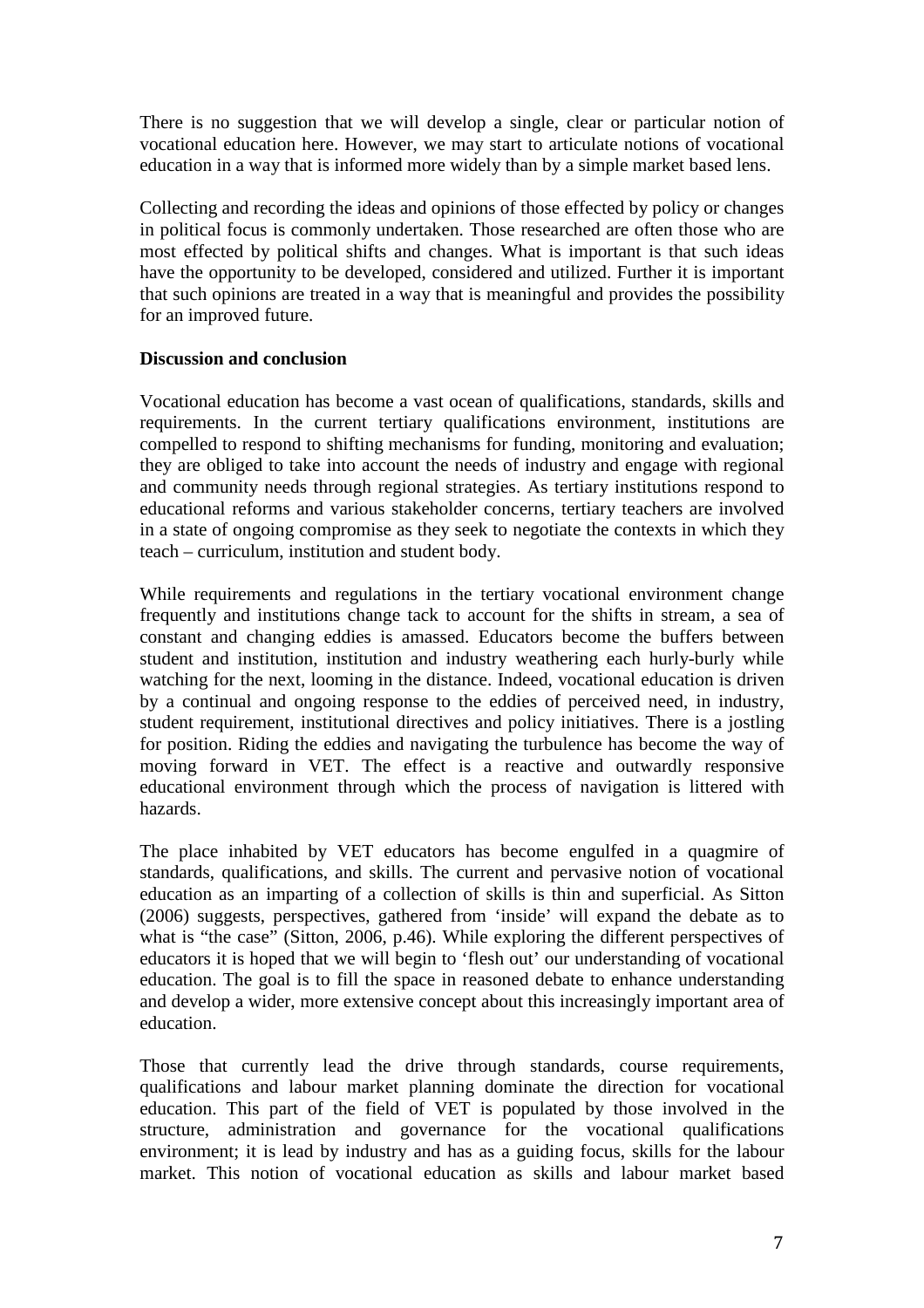There is no suggestion that we will develop a single, clear or particular notion of vocational education here. However, we may start to articulate notions of vocational education in a way that is informed more widely than by a simple market based lens.

Collecting and recording the ideas and opinions of those effected by policy or changes in political focus is commonly undertaken. Those researched are often those who are most effected by political shifts and changes. What is important is that such ideas have the opportunity to be developed, considered and utilized. Further it is important that such opinions are treated in a way that is meaningful and provides the possibility for an improved future.

# **Discussion and conclusion**

Vocational education has become a vast ocean of qualifications, standards, skills and requirements. In the current tertiary qualifications environment, institutions are compelled to respond to shifting mechanisms for funding, monitoring and evaluation; they are obliged to take into account the needs of industry and engage with regional and community needs through regional strategies. As tertiary institutions respond to educational reforms and various stakeholder concerns, tertiary teachers are involved in a state of ongoing compromise as they seek to negotiate the contexts in which they teach – curriculum, institution and student body.

While requirements and regulations in the tertiary vocational environment change frequently and institutions change tack to account for the shifts in stream, a sea of constant and changing eddies is amassed. Educators become the buffers between student and institution, institution and industry weathering each hurly-burly while watching for the next, looming in the distance. Indeed, vocational education is driven by a continual and ongoing response to the eddies of perceived need, in industry, student requirement, institutional directives and policy initiatives. There is a jostling for position. Riding the eddies and navigating the turbulence has become the way of moving forward in VET. The effect is a reactive and outwardly responsive educational environment through which the process of navigation is littered with hazards.

The place inhabited by VET educators has become engulfed in a quagmire of standards, qualifications, and skills. The current and pervasive notion of vocational education as an imparting of a collection of skills is thin and superficial. As Sitton (2006) suggests, perspectives, gathered from 'inside' will expand the debate as to what is "the case" (Sitton, 2006, p.46). While exploring the different perspectives of educators it is hoped that we will begin to 'flesh out' our understanding of vocational education. The goal is to fill the space in reasoned debate to enhance understanding and develop a wider, more extensive concept about this increasingly important area of education.

Those that currently lead the drive through standards, course requirements, qualifications and labour market planning dominate the direction for vocational education. This part of the field of VET is populated by those involved in the structure, administration and governance for the vocational qualifications environment; it is lead by industry and has as a guiding focus, skills for the labour market. This notion of vocational education as skills and labour market based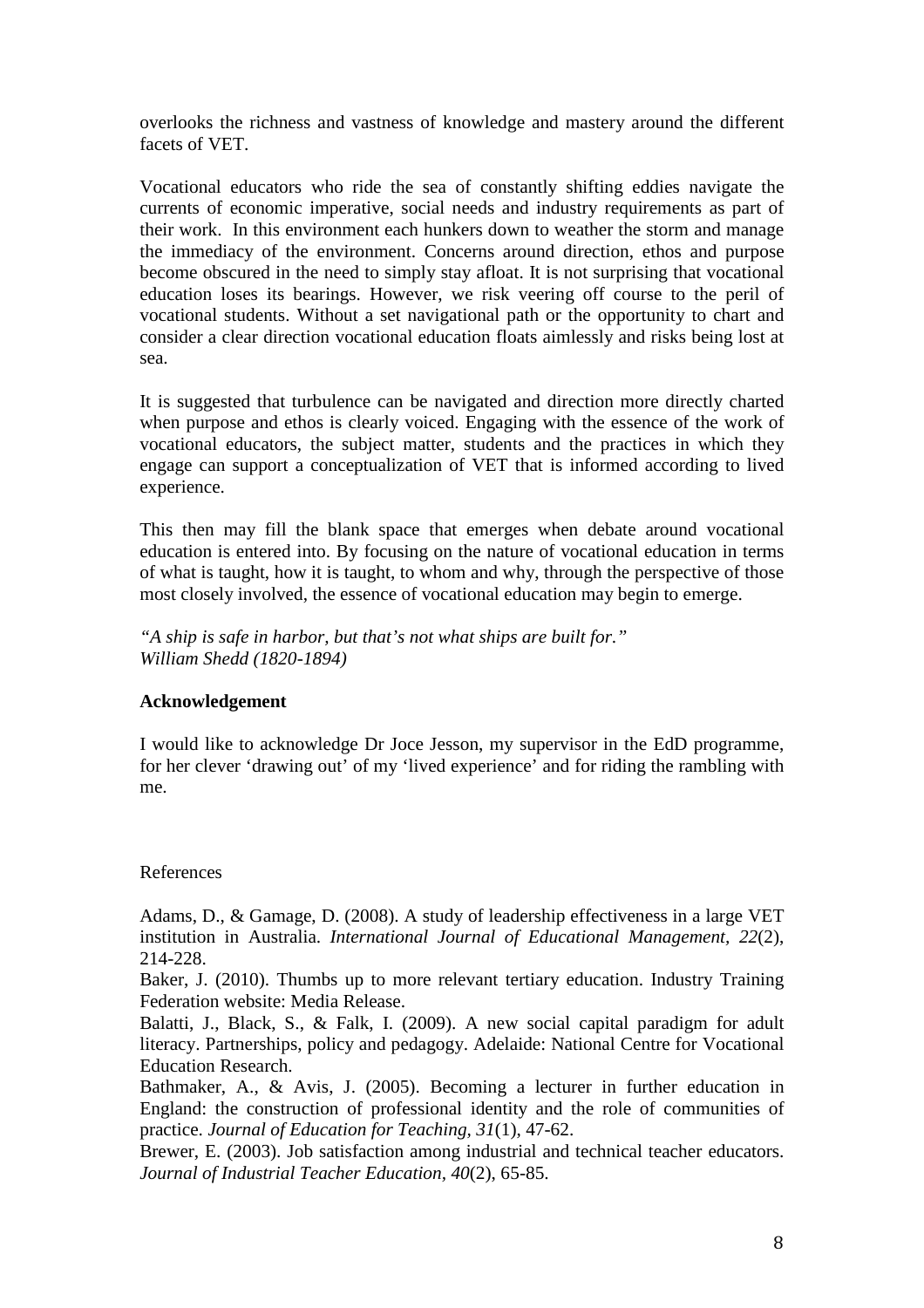overlooks the richness and vastness of knowledge and mastery around the different facets of VET.

Vocational educators who ride the sea of constantly shifting eddies navigate the currents of economic imperative, social needs and industry requirements as part of their work. In this environment each hunkers down to weather the storm and manage the immediacy of the environment. Concerns around direction, ethos and purpose become obscured in the need to simply stay afloat. It is not surprising that vocational education loses its bearings. However, we risk veering off course to the peril of vocational students. Without a set navigational path or the opportunity to chart and consider a clear direction vocational education floats aimlessly and risks being lost at sea.

It is suggested that turbulence can be navigated and direction more directly charted when purpose and ethos is clearly voiced. Engaging with the essence of the work of vocational educators, the subject matter, students and the practices in which they engage can support a conceptualization of VET that is informed according to lived experience.

This then may fill the blank space that emerges when debate around vocational education is entered into. By focusing on the nature of vocational education in terms of what is taught, how it is taught, to whom and why, through the perspective of those most closely involved, the essence of vocational education may begin to emerge.

*"A ship is safe in harbor, but that's not what ships are built for." William Shedd (1820-1894)* 

## **Acknowledgement**

I would like to acknowledge Dr Joce Jesson, my supervisor in the EdD programme, for her clever 'drawing out' of my 'lived experience' and for riding the rambling with me.

## References

Adams, D., & Gamage, D. (2008). A study of leadership effectiveness in a large VET institution in Australia. *International Journal of Educational Management, 22*(2), 214-228.

Baker, J. (2010). Thumbs up to more relevant tertiary education. Industry Training Federation website: Media Release.

Balatti, J., Black, S., & Falk, I. (2009). A new social capital paradigm for adult literacy. Partnerships, policy and pedagogy. Adelaide: National Centre for Vocational Education Research.

Bathmaker, A., & Avis, J. (2005). Becoming a lecturer in further education in England: the construction of professional identity and the role of communities of practice. *Journal of Education for Teaching, 31*(1), 47-62.

Brewer, E. (2003). Job satisfaction among industrial and technical teacher educators. *Journal of Industrial Teacher Education, 40*(2), 65-85.